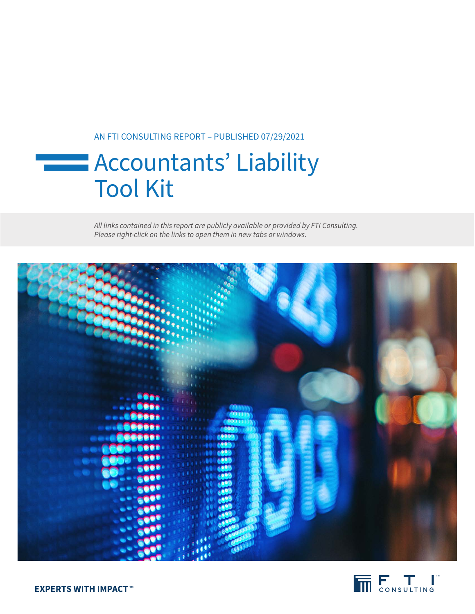# AN FTI CONSULTING REPORT – PUBLISHED 07/29/2021

# **Exercise 22 Accountants' Liability** Tool Kit

*All links contained in this report are publicly available or provided by FTI Consulting. Please right-click on the links to open them in new tabs or windows.*



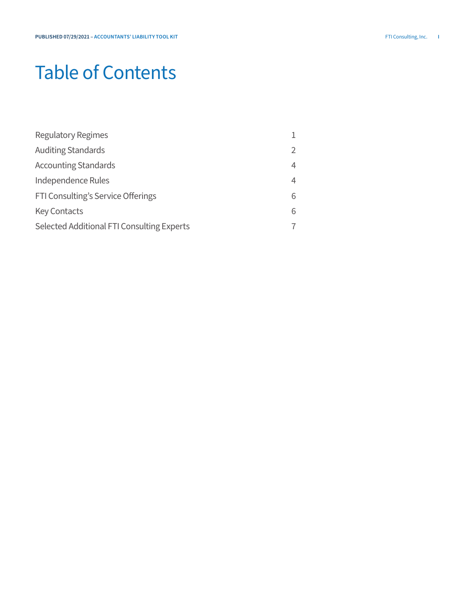# Table of Contents

| <b>Regulatory Regimes</b>                  |                |
|--------------------------------------------|----------------|
| <b>Auditing Standards</b>                  | $\overline{2}$ |
| <b>Accounting Standards</b>                | $\overline{4}$ |
| Independence Rules                         | $\overline{4}$ |
| FTI Consulting's Service Offerings         | 6              |
| <b>Key Contacts</b>                        | 6              |
| Selected Additional FTI Consulting Experts | 7              |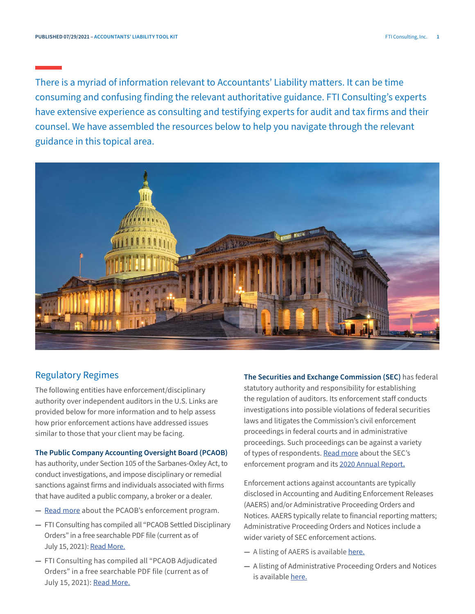<span id="page-2-0"></span>There is a myriad of information relevant to Accountants' Liability matters. It can be time consuming and confusing finding the relevant authoritative guidance. FTI Consulting's experts have extensive experience as consulting and testifying experts for audit and tax firms and their counsel. We have assembled the resources below to help you navigate through the relevant guidance in this topical area.



## Regulatory Regimes

The following entities have enforcement/disciplinary authority over independent auditors in the U.S. Links are provided below for more information and to help assess how prior enforcement actions have addressed issues similar to those that your client may be facing.

#### **The Public Company Accounting Oversight Board (PCAOB)**

has authority, under Section 105 of the Sarbanes-Oxley Act, to conduct investigations, and impose disciplinary or remedial sanctions against firms and individuals associated with firms that have audited a public company, a broker or a dealer.

- **—** [Read more](https://pcaobus.org/enforcement/Pages/default.aspx) about the PCAOB's enforcement program.
- **—** FTI Consulting has compiled all "PCAOB Settled Disciplinary Orders" in a free searchable PDF file (current as of July 15, 2021): [Read More.](https://email-legacy.fticonsulting.com/email/2020/FLC-files/Compilation%20of%20PCAOB%20Settled%20Disciplinary%20Orders.pdf)
- **—** FTI Consulting has compiled all "PCAOB Adjudicated Orders" in a free searchable PDF file (current as of July 15, 2021): [Read More.](https://www.fticonsulting.com/email/2020/FLC-files/Compliation%20of%20PCAOB%20Adjudicated%20Orders.pdf)

**The Securities and Exchange Commission (SEC)** has federal statutory authority and responsibility for establishing the regulation of auditors. Its enforcement staff conducts investigations into possible violations of federal securities laws and litigates the Commission's civil enforcement proceedings in federal courts and in administrative proceedings. Such proceedings can be against a variety of types of respondents. [Read more](https://www.sec.gov/page/litigation) about the SEC's enforcement program and its [2020 Annual Report](https://www.sec.gov/files/enforcement-annual-report-2020.pdf)**.**

Enforcement actions against accountants are typically disclosed in Accounting and Auditing Enforcement Releases (AAERS) and/or Administrative Proceeding Orders and Notices. AAERS typically relate to financial reporting matters; Administrative Proceeding Orders and Notices include a wider variety of SEC enforcement actions.

- **—** A listing of AAERS is available [here.](https://www.sec.gov/divisions/enforce/friactions.shtml)
- **—** A listing of Administrative Proceeding Orders and Notices is available [here.](https://www.sec.gov/litigation/admin.shtml)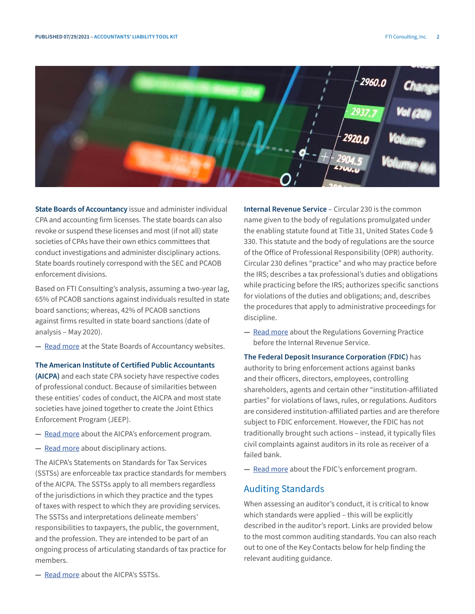<span id="page-3-0"></span>

**State Boards of Accountancy** issue and administer individual CPA and accounting firm licenses. The state boards can also revoke or suspend these licenses and most (if not all) state societies of CPAs have their own ethics committees that conduct investigations and administer disciplinary actions. State boards routinely correspond with the SEC and PCAOB enforcement divisions.

Based on FTI Consulting's analysis, assuming a two-year lag, 65% of PCAOB sanctions against individuals resulted in state board sanctions; whereas, 42% of PCAOB sanctions against firms resulted in state board sanctions (date of analysis – May 2020).

**—** [Read more](https://nasba.org/stateboards/) at the State Boards of Accountancy websites.

**The American Institute of Certified Public Accountants (AICPA)** and each state CPA society have respective codes of professional conduct. Because of similarities between these entities' codes of conduct, the AICPA and most state societies have joined together to create the Joint Ethics Enforcement Program (JEEP).

- **—** [Read more](https://www.aicpa.org/interestareas/professionalethics/resources/ethicsenforcement.html) about the AICPA's enforcement program.
- **—** [Read more](https://www.aicpa.org/forthepublic/disciplinaryactions.html) about disciplinary actions.

The AICPA's Statements on Standards for Tax Services (SSTSs) are enforceable tax practice standards for members of the AICPA. The SSTSs apply to all members regardless of the jurisdictions in which they practice and the types of taxes with respect to which they are providing services. The SSTSs and interpretations delineate members' responsibilities to taxpayers, the public, the government, and the profession. They are intended to be part of an ongoing process of articulating standards of tax practice for members.

**Internal Revenue Service** – Circular 230 is the common name given to the body of regulations promulgated under the enabling statute found at Title 31, United States Code § 330. This statute and the body of regulations are the source of the Office of Professional Responsibility (OPR) authority. Circular 230 defines "practice" and who may practice before the IRS; describes a tax professional's duties and obligations while practicing before the IRS; authorizes specific sanctions for violations of the duties and obligations; and, describes the procedures that apply to administrative proceedings for discipline.

**—** [Read more](https://www.irs.gov/pub/irs-pdf/pcir230.pdf) about the Regulations Governing Practice before the Internal Revenue Service.

**The Federal Deposit Insurance Corporation (FDIC)** has authority to bring enforcement actions against banks and their officers, directors, employees, controlling shareholders, agents and certain other "institution-affiliated parties" for violations of laws, rules, or regulations. Auditors are considered institution-affiliated parties and are therefore subject to FDIC enforcement. However, the FDIC has not traditionally brought such actions – instead, it typically files civil complaints against auditors in its role as receiver of a failed bank.

**—** [Read more](https://orders.fdic.gov/s/) about the FDIC's enforcement program.

#### Auditing Standards

When assessing an auditor's conduct, it is critical to know which standards were applied – this will be explicitly described in the auditor's report. Links are provided below to the most common auditing standards. You can also reach out to one of the Key Contacts below for help finding the relevant auditing guidance.

**—** [Read more](https://www.aicpa.org/interestareas/tax/resources/standardsethics/statementsonstandardsfortaxservices.html) about the AICPA's SSTSs.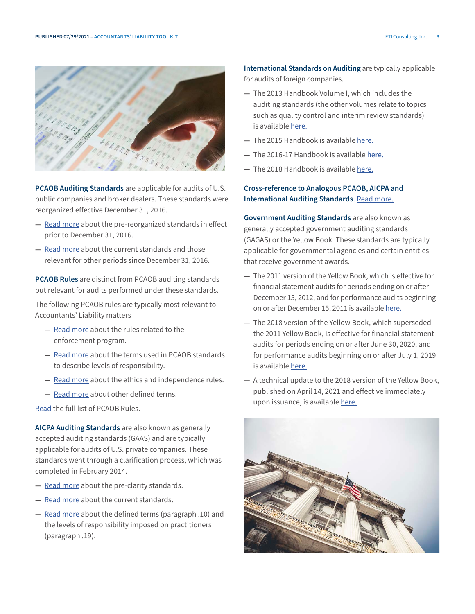



**PCAOB Auditing Standards** are applicable for audits of U.S. public companies and broker dealers. These standards were reorganized effective December 31, 2016.

- **—** [Read more](https://pcaobus.org/Standards/Archived/PreReorgStandards/Pages/default.aspx) about the pre-reorganized standards in effect prior to December 31, 2016.
- **—** [Read more](https://pcaobus.org/oversight/standards/auditing-standards) about the current standards and those relevant for other periods since December 31, 2016.

**PCAOB Rules** are distinct from PCAOB auditing standards but relevant for audits performed under these standards.

The following PCAOB rules are typically most relevant to Accountants' Liability matters

- **—** [Read more](https://pcaobus.org//Rules/Pages/Section_5.aspx) about the rules related to the enforcement program.
- **—** [Read more](https://pcaobus.org/Rules/Pages/Rule_3101.aspx) about the terms used in PCAOB standards to describe levels of responsibility.
- **—** [Read more](https://pcaobus.org/Standards/EI/Pages/default.aspx) about the ethics and independence rules.
- **—** [Read more](https://pcaobus.org/Rules/Pages/Section_1.aspx) about other defined terms.

[Read](https://pcaobus.org/Rules/Pages/default.aspx) the full list of PCAOB Rules.

**AICPA Auditing Standards** are also known as generally accepted auditing standards (GAAS) and are typically applicable for audits of U.S. private companies. These standards went through a clarification process, which was completed in February 2014.

- **—** [Read more](https://www.aicpa.org/research/standards/auditattest/sas.html) about the pre-clarity standards.
- **—** [Read more](https://www.aicpa.org/research/standards/auditattest/clarifiedsas.html) about the current standards.
- **—** [Read more](https://www.aicpa.org/Research/Standards/AuditAttest/DownloadableDocuments/AT-C-00105.pdf) about the defined terms (paragraph .10) and the levels of responsibility imposed on practitioners (paragraph .19).

**International Standards on Auditing** are typically applicable for audits of foreign companies.

- **—** The 2013 Handbook Volume I, which includes the auditing standards (the other volumes relate to topics such as quality control and interim review standards) is available [here.](https://www.ifac.org/system/files/publications/files/IAASB%20HANDBOOK_Vol%201_0.pdf)
- **—** The 2015 Handbook is available [here.](https://www.iaasb.org/publications/2015-handbook-international-quality-control-auditing-review-other-assurance-and-related-services-25)
- **—** The 2016-17 Handbook is available [here](https://www.ifac.org/system/files/publications/files/2016-2017-IAASB-Handbook-Volume-1.pdf).
- **—** The 2018 Handbook is available [here.](https://www.ifac.org/system/files/publications/files/IAASB-2018-HB-Vol-1.pdf)

## **Cross-reference to Analogous PCAOB, AICPA and International Auditing Standards**. [Read more.](https://pcaobus.org/oversight/standards/auditing-standards/analogous-standards)

**Government Auditing Standards** are also known as generally accepted government auditing standards (GAGAS) or the Yellow Book. These standards are typically applicable for governmental agencies and certain entities that receive government awards.

- **—** The 2011 version of the Yellow Book, which is effective for financial statement audits for periods ending on or after December 15, 2012, and for performance audits beginning on or after December 15, 2011 is available [here](https://www.gao.gov/products/GAO-12-331G).
- **—** The 2018 version of the Yellow Book, which superseded the 2011 Yellow Book, is effective for financial statement audits for periods ending on or after June 30, 2020, and for performance audits beginning on or after July 1, 2019 is available [here.](https://www.gao.gov/products/GAO-18-568G)
- **—** A technical update to the 2018 version of the Yellow Book, published on April 14, 2021 and effective immediately upon issuance, is available [here.](https://www.gao.gov/products/gao-21-368g)

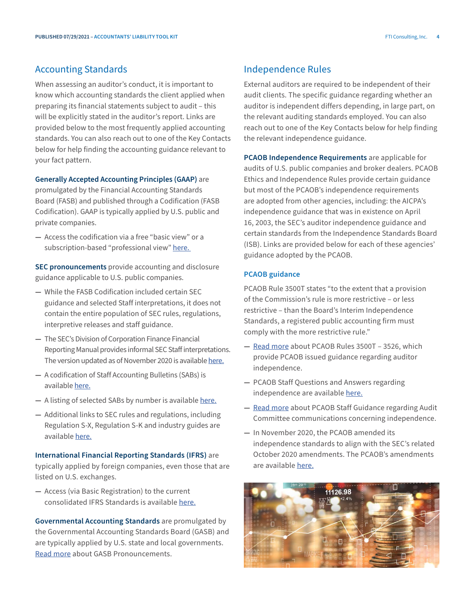#### <span id="page-5-0"></span>Accounting Standards

When assessing an auditor's conduct, it is important to know which accounting standards the client applied when preparing its financial statements subject to audit – this will be explicitly stated in the auditor's report. Links are provided below to the most frequently applied accounting standards. You can also reach out to one of the Key Contacts below for help finding the accounting guidance relevant to your fact pattern.

**Generally Accepted Accounting Principles (GAAP)** are promulgated by the Financial Accounting Standards Board (FASB) and published through a Codification (FASB Codification). GAAP is typically applied by U.S. public and private companies.

**—** Access the codification via a free "basic view" or a subscription-based "professional view" [here.](https://asc.fasb.org/)

**SEC pronouncements** provide accounting and disclosure guidance applicable to U.S. public companies.

- **—** While the FASB Codification included certain SEC guidance and selected Staff interpretations, it does not contain the entire population of SEC rules, regulations, interpretive releases and staff guidance.
- **—** The SEC's Division of Corporation Finance Financial Reporting Manual provides informal SEC Staff interpretations. The version updated as of November 2020 is available [here](https://www.sec.gov/corpfin/cf-manual).
- **—** A codification of Staff Accounting Bulletins (SABs) is available [here](https://www.sec.gov/interps/account/sabcode.htm).
- **—** A listing of selected SABs by number is available [here.](https://www.sec.gov/interps/account.shtml)
- **—** Additional links to SEC rules and regulations, including Regulation S-X, Regulation S-K and industry guides are available [here.](https://www.sec.gov/divisions/corpfin/ecfrlinks.shtml)

#### **International Financial Reporting Standards (IFRS)** are typically applied by foreign companies, even those that are listed on U.S. exchanges.

**—** Access (via Basic Registration) to the current consolidated IFRS Standards is available [here.](https://www.ifrs.org/issued-standards/list-of-standards/)

Governmental Accounting Standards are promulgated by the Governmental Accounting Standards Board (GASB) and are typically applied by U.S. state and local governments. [Read more](https://www.gasb.org/cs/ContentServer?c=Page&cid=1176160042391&d=&pagename=GASB%2FPage%2FGASBSectionPage) about GASB Pronouncements.

### Independence Rules

External auditors are required to be independent of their audit clients. The specific guidance regarding whether an auditor is independent differs depending, in large part, on the relevant auditing standards employed. You can also reach out to one of the Key Contacts below for help finding the relevant independence guidance.

**PCAOB Independence Requirements** are applicable for audits of U.S. public companies and broker dealers. PCAOB Ethics and Independence Rules provide certain guidance but most of the PCAOB's independence requirements are adopted from other agencies, including: the AICPA's independence guidance that was in existence on April 16, 2003, the SEC's auditor independence guidance and certain standards from the Independence Standards Board (ISB). Links are provided below for each of these agencies' guidance adopted by the PCAOB.

#### **PCAOB guidance**

PCAOB Rule 3500T states "to the extent that a provision of the Commission's rule is more restrictive – or less restrictive – than the Board's Interim Independence Standards, a registered public accounting firm must comply with the more restrictive rule."

- **—** [Read more](https://pcaobus.org//Rules/Pages/Section_3.aspx#rule3501) about PCAOB Rules 3500T 3526, which provide PCAOB issued guidance regarding auditor independence.
- **—** PCAOB Staff Questions and Answers regarding independence are available [here](https://pcaobus.org/Standards/QandA/Tax_Services.pdf).
- **—** [Read more](https://pcaobus.org/Standards/Documents/Staff-Guidance-Rule-3526(b)-Communications-Audit-Committee-Concerning-Independence.pdf) about PCAOB Staff Guidance regarding Audit Committee communications concerning independence.
- **—** In November 2020, the PCAOB amended its independence standards to align with the SEC's related October 2020 amendments. The PCAOB's amendments are available [here.](https://pcaobus.org/news-events/news-releases/news-release-detail/pcaob-adopts-amendments-to-align-independence-requirements-with-sec-rules)

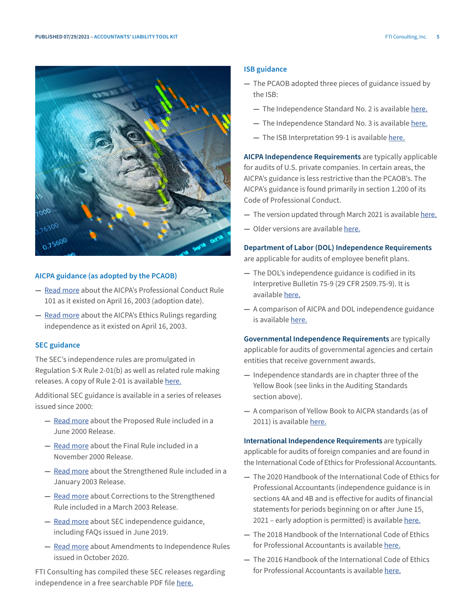

#### **AICPA guidance (as adopted by the PCAOB)**

- **—** [Read more](https://pcaobus.org/Standards/EI/Pages/ET101.aspx) about the AICPA's Professional Conduct Rule 101 as it existed on April 16, 2003 (adoption date).
- **—** [Read more](https://pcaobus.org/Standards/EI/Pages/ET191.aspx) about the AICPA's Ethics Rulings regarding independence as it existed on April 16, 2003.

#### **SEC guidance**

The SEC's independence rules are promulgated in Regulation S-X Rule 2-01(b) as well as related rule making releases. A copy of Rule 2-01 is available [here](https://www.govinfo.gov/content/pkg/CFR-2001-title17-vol2/pdf/CFR-2001-title17-vol2-sec210-2-01.pdf).

Additional SEC guidance is available in a series of releases issued since 2000:

- **—** [Read more](https://www.sec.gov/rules/proposed/34-42994.htm) about the Proposed Rule included in a June 2000 Release.
- **—** [Read more](https://www.sec.gov/rules/final/33-7919.htm) about the Final Rule included in a November 2000 Release.
- **—** [Read more](https://www.sec.gov/rules/final/33-8183.htm) about the Strengthened Rule included in a January 2003 Release.
- **—** [Read more](https://www.sec.gov/rules/final/33-8183a.htm) about Corrections to the Strengthened Rule included in a March 2003 Release.
- **—** [Read more](https://www.sec.gov/info/accountants/independref.shtml) about SEC independence guidance, including FAQs issued in June 2019.
- **—** [Read more](https://www.sec.gov/news/press-release/2020-261) about Amendments to Independence Rules issued in October 2020.

FTI Consulting has compiled these SEC releases regarding independence in a free searchable PDF file [here.](https://www.fticonsulting.com/email/2020/FLC-files/SEC_independence_releases.pdf)

#### **ISB guidance**

- **—** The PCAOB adopted three pieces of guidance issued by the ISB:
	- **—** The Independence Standard No. 2 is available [here.](https://pcaobus.org/Standards/EI/Documents/ISB2.pdf)
	- **—** The Independence Standard No. 3 is available [here.](https://pcaobus.org/Standards/EI/Documents/ISB3.pdf)
	- **—** The ISB Interpretation 99-1 is available [here.](https://pcaobus.org/Standards/EI/Documents/ISB_Interp_99-1.pdf)

**AICPA Independence Requirements** are typically applicable for audits of U.S. private companies. In certain areas, the AICPA's guidance is less restrictive than the PCAOB's. The AICPA's guidance is found primarily in section 1.200 of its Code of Professional Conduct.

- **—** The version updated through March 2021 is available [here.](https://pub.aicpa.org/codeofconduct/ethicsresources/et-cod.pdf)
- **—** Older versions are available [here](https://www.aicpa.org/research/standards/codeofconduct.html).

#### **Department of Labor (DOL) Independence Requirements**

are applicable for audits of employee benefit plans.

- **—** The DOL's independence guidance is codified in its Interpretive Bulletin 75-9 (29 CFR 2509.75-9). It is available [here.](https://www.govinfo.gov/content/pkg/CFR-2011-title29-vol9/pdf/CFR-2011-title29-vol9-sec2509-75-9.pdf)
- **—** A comparison of AICPA and DOL independence guidance is available [here.](https://www.aicpa.org/content/dam/aicpa/interestareas/employeebenefitplanauditquality/resources/accountingandauditingresourcecenters/auditorindependence/downloadabledocuments/dol-aicpa-independence-rule-comparison.pdf)

**Governmental Independence Requirements** are typically applicable for audits of governmental agencies and certain entities that receive government awards.

- **—** Independence standards are in chapter three of the Yellow Book (see links in the Auditing Standards section above).
- **—** A comparison of Yellow Book to AICPA standards (as of 2011) is available [here](https://www.aicpa.org/content/dam/aicpa/interestareas/professionalethics/resources/tools/downloadabledocuments/2015junecomparisonogao-aicpa.pdf).

**International Independence Requirements** are typically applicable for audits of foreign companies and are found in the International Code of Ethics for Professional Accountants.

- **—** The 2020 Handbook of the International Code of Ethics for Professional Accountants (independence guidance is in sections 4A and 4B and is effective for audits of financial statements for periods beginning on or after June 15, 2021 – early adoption is permitted) is available [here.](https://www.ethicsboard.org/publications/2020-handbook-international-code-ethics-professional-accountants)
- **—** The 2018 Handbook of the International Code of Ethics for Professional Accountants is available [here](https://www.ifac.org/system/files/publications/files/IESBA-Handbook-Code-of-Ethics-2018.pdf).
- **—** The 2016 Handbook of the International Code of Ethics for Professional Accountants is available [here.](https://www.ifac.org/system/files/publications/files/2016-IESBA-Handbook.pdf)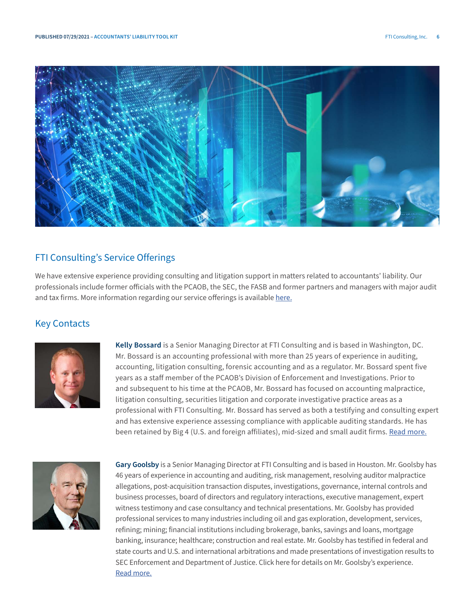<span id="page-7-0"></span>

# FTI Consulting's Service Offerings

We have extensive experience providing consulting and litigation support in matters related to accountants' liability. Our professionals include former officials with the PCAOB, the SEC, the FASB and former partners and managers with major audit and tax firms. More information regarding our service offerings is available [here.](https://www.fticonsulting.com/~/media/Files/us-files/insights/capabilities/faas_accountants-liability-claims.pdf)

# Key Contacts



**Kelly Bossard** is a Senior Managing Director at FTI Consulting and is based in Washington, DC. Mr. Bossard is an accounting professional with more than 25 years of experience in auditing, accounting, litigation consulting, forensic accounting and as a regulator. Mr. Bossard spent five years as a staff member of the PCAOB's Division of Enforcement and Investigations. Prior to and subsequent to his time at the PCAOB, Mr. Bossard has focused on accounting malpractice, litigation consulting, securities litigation and corporate investigative practice areas as a professional with FTI Consulting. Mr. Bossard has served as both a testifying and consulting expert and has extensive experience assessing compliance with applicable auditing standards. He has been retained by Big 4 (U.S. and foreign affiliates), mid-sized and small audit firms. [Read more.](https://www.fticonsulting.com/email/2020/FLC-files/Bossard_Kelly_Bio_Long_Photo_SMD.pdf)



**Gary Goolsby** is a Senior Managing Director at FTI Consulting and is based in Houston. Mr. Goolsby has 46 years of experience in accounting and auditing, risk management, resolving auditor malpractice allegations, post-acquisition transaction disputes, investigations, governance, internal controls and business processes, board of directors and regulatory interactions, executive management, expert witness testimony and case consultancy and technical presentations. Mr. Goolsby has provided professional services to many industries including oil and gas exploration, development, services, refining; mining; financial institutions including brokerage, banks, savings and loans, mortgage banking, insurance; healthcare; construction and real estate. Mr. Goolsby has testified in federal and state courts and U.S. and international arbitrations and made presentations of investigation results to SEC Enforcement and Department of Justice. Click here for details on Mr. Goolsby's experience. [Read more.](https://www.fticonsulting.com/email/2020/FLC-files/Goolsby_Gary_Bio_Long_Photo_SMD.pdf)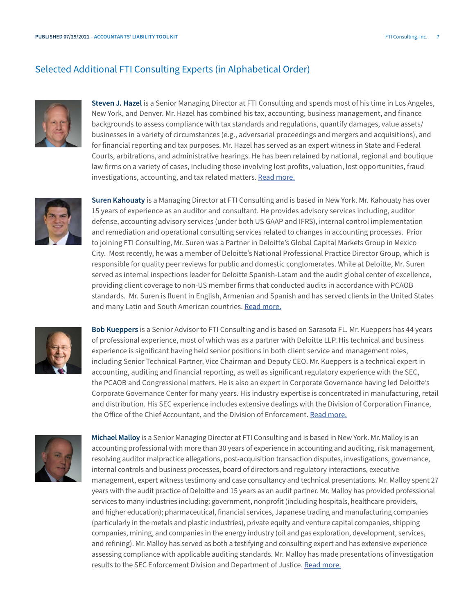# Selected Additional FTI Consulting Experts (in Alphabetical Order)



**Steven J. Hazel** is a Senior Managing Director at FTI Consulting and spends most of his time in Los Angeles, New York, and Denver. Mr. Hazel has combined his tax, accounting, business management, and finance backgrounds to assess compliance with tax standards and regulations, quantify damages, value assets/ businesses in a variety of circumstances (e.g., adversarial proceedings and mergers and acquisitions), and for financial reporting and tax purposes. Mr. Hazel has served as an expert witness in State and Federal Courts, arbitrations, and administrative hearings. He has been retained by national, regional and boutique law firms on a variety of cases, including those involving lost profits, valuation, lost opportunities, fraud investigations, accounting, and tax related matters. **[Read more.](https://www.fticonsulting.com/email/2020/FLC-files/hazel_steven_bio.pdf)** 



**Suren Kahouaty** is a Managing Director at FTI Consulting and is based in New York. Mr. Kahouaty has over 15 years of experience as an auditor and consultant. He provides advisory services including, auditor defense, accounting advisory services (under both US GAAP and IFRS), internal control implementation and remediation and operational consulting services related to changes in accounting processes. Prior to joining FTI Consulting, Mr. Suren was a Partner in Deloitte's Global Capital Markets Group in Mexico City. Most recently, he was a member of Deloitte's National Professional Practice Director Group, which is responsible for quality peer reviews for public and domestic conglomerates. While at Deloitte, Mr. Suren served as internal inspections leader for Deloitte Spanish-Latam and the audit global center of excellence, providing client coverage to non-US member firms that conducted audits in accordance with PCAOB standards. Mr. Suren is fluent in English, Armenian and Spanish and has served clients in the United States and many Latin and South American countries. [Read more.](https://email-legacy.fticonsulting.com/email/2020/FLC-files/Kahouaty-Suren-Bio-Short.pdf)



**Bob Kueppers** is a Senior Advisor to FTI Consulting and is based on Sarasota FL. Mr. Kueppers has 44 years of professional experience, most of which was as a partner with Deloitte LLP. His technical and business experience is significant having held senior positions in both client service and management roles, including Senior Technical Partner, Vice Chairman and Deputy CEO. Mr. Kueppers is a technical expert in accounting, auditing and financial reporting, as well as significant regulatory experience with the SEC, the PCAOB and Congressional matters. He is also an expert in Corporate Governance having led Deloitte's Corporate Governance Center for many years. His industry expertise is concentrated in manufacturing, retail and distribution. His SEC experience includes extensive dealings with the Division of Corporation Finance, the Office of the Chief Accountant, and the Division of Enforcement. [Read more.](https://www.fticonsulting.com/email/2020/FLC-files/Kueppers_Bob_Short_Sr Advisor.pdf)



**Michael Malloy** is a Senior Managing Director at FTI Consulting and is based in New York. Mr. Malloy is an accounting professional with more than 30 years of experience in accounting and auditing, risk management, resolving auditor malpractice allegations, post-acquisition transaction disputes, investigations, governance, internal controls and business processes, board of directors and regulatory interactions, executive management, expert witness testimony and case consultancy and technical presentations. Mr. Malloy spent 27 years with the audit practice of Deloitte and 15 years as an audit partner. Mr. Malloy has provided professional services to many industries including: government, nonprofit (including hospitals, healthcare providers, and higher education); pharmaceutical, financial services, Japanese trading and manufacturing companies (particularly in the metals and plastic industries), private equity and venture capital companies, shipping companies, mining, and companies in the energy industry (oil and gas exploration, development, services, and refining). Mr. Malloy has served as both a testifying and consulting expert and has extensive experience assessing compliance with applicable auditing standards. Mr. Malloy has made presentations of investigation results to the SEC Enforcement Division and Department of Justice. [Read more.](https://www.fticonsulting.com/email/2020/FLC-files/Malloy_Michael_Bio_Long_SMD.pdf)